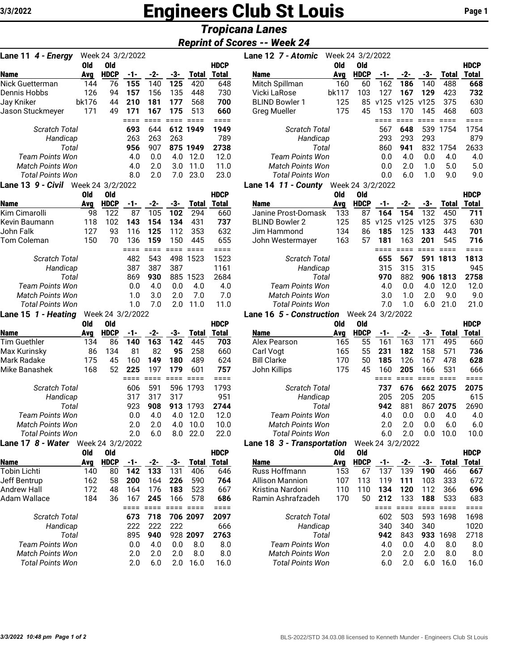# **Engineers Club St Louis** Page 1

# *Tropicana Lanes*

## *Reprint of Scores -- Week 24*

| Lane 11 4 - Energy        |            | Week 24 3/2/2022 |             |                 |               |                |                |
|---------------------------|------------|------------------|-------------|-----------------|---------------|----------------|----------------|
|                           | Old        | <b>Old</b>       |             |                 |               |                | <b>HDCP</b>    |
| <b>Name</b>               | Avg        | <b>HDCP</b>      | -1-         | $-2-$           | -3-           | <b>Total</b>   | Total          |
| Nick Guetterman           | 144        | 76               | 155         | 140             | 125           | 420            | 648            |
| Dennis Hobbs              | 126        | 94               | 157         | 156             | 135           | 448            | 730            |
| Jay Kniker                | bk176      | 44               | 210         | 181             | 177           | 568            | 700            |
| Jason Stuckmeyer          | 171        | 49               | 171<br>==== | 167<br>$====$   | 175<br>$====$ | 513<br>$====$  | 660<br>$====$  |
| Scratch Total             |            |                  | 693         | 644             | 612           | 1949           | 1949           |
| Handicap                  |            |                  | 263         | 263             | 263           |                | 789            |
| Total                     |            |                  | 956         | 907             | 875           | 1949           | 2738           |
| <b>Team Points Won</b>    |            |                  | 4.0         | 0.0             | 4.0           | 12.0           | 12.0           |
| <b>Match Points Won</b>   |            |                  | 4.0         | 2.0             | 3.0           | 11.0           | 11.0           |
| <b>Total Points Won</b>   |            |                  | 8.0         | 2.0             | 7.0           | 23.0           | 23.0           |
| <b>Lane 13 9 - Civil</b>  |            | Week 24 3/2/2022 |             |                 |               |                |                |
|                           | Old        | <b>Old</b>       |             |                 |               |                | <b>HDCP</b>    |
| <b>Name</b>               | Avg        | <b>HDCP</b>      | -1-         | $-2-$           | -3-           | <b>Total</b>   | <b>Total</b>   |
| Kim Cimarolli             | 98         | 122              | 87          | 105             | 102           | 294            | 660            |
| Kevin Baumann             | 118        | 102              | 143         | 154             | 134           | 431            | 737            |
| John Falk                 | 127        | 93               | 116         | 125             | 112           | 353            | 632            |
| Tom Coleman               | 150        | 70               | 136         | 159             | 150           | 445            | 655            |
|                           |            |                  | ====        | ====            | ====          | $====$         | ====           |
| Scratch Total<br>Handicap |            |                  | 482<br>387  | 543<br>387      | 498<br>387    | 1523           | 1523<br>1161   |
| Total                     |            |                  | 869         | 930             | 885           | 1523           | 2684           |
| <b>Team Points Won</b>    |            |                  | 0.0         | 4.0             | 0.0           | 4.0            | 4.0            |
| <b>Match Points Won</b>   |            |                  | 1.0         | 3.0             | 2.0           | 7.0            | 7.0            |
| <b>Total Points Won</b>   |            |                  | 1.0         | 7.0             | 2.0           | 11.0           | 11.0           |
| Lane 15 1 - Heating       |            | Week 24 3/2/2022 |             |                 |               |                |                |
|                           | Old        | <b>Old</b>       |             |                 |               |                | <b>HDCP</b>    |
| Name                      | Ava        | <b>HDCP</b>      | -1-         | $-2-$           | -3-           | <b>Total</b>   | Total          |
| <b>Tim Guethler</b>       | 134        | 86               | 140         | 163             | 142           | 445            | 703            |
| Max Kurinsky              | 86         | 134              | 81          | 82              | 95            | 258            | 660            |
| Mark Radake               | 175        | 45               | 160         | 149             | 180           | 489            | 624            |
| Mike Banashek             | 168        | 52               | 225         | 197             | 179           | 601            | 757            |
| <b>Scratch Total</b>      |            |                  | ====<br>606 | $====$<br>591   | ====<br>596   | $====$<br>1793 | $====$<br>1793 |
| Handicap                  |            |                  | 317         | 317             | 317           |                | 951            |
| Total                     |            |                  | 923         | 908             | 913           | 1793           | 2744           |
| <b>Team Points Won</b>    |            |                  | 0.0         | 4.0             | 4.0           | 12.0           | 12.0           |
| <b>Match Points Won</b>   |            |                  | 2.0         | 2.0             | 4.0           | 10.0           | 10.0           |
| Total Points Won          |            |                  | 2.0         | 6.0             | 8.0           | 22.0           | 22.0           |
| Lane 17 8 - Water         |            | Week 24 3/2/2022 |             |                 |               |                |                |
|                           | <b>Old</b> | Old              |             |                 |               |                | <b>HDCP</b>    |
| Name                      | Avg        | <b>HDCP</b>      | -1-         | $-2-$           | -3-           | <b>Total</b>   | Total          |
| <b>Tobin Lichti</b>       | 140        | 80               | 142         | 133             | 131           | 406            | 646            |
| Jeff Bentrup              | 162        | 58               | 200         | 164             | 226           | 590            | 764            |
| <b>Andrew Hall</b>        | 172        | 48               | 164         | 176             | 183           | 523            | 667            |
| Adam Wallace              | 184        | 36               | 167         | 245             | 166           | 578            | 686            |
|                           |            |                  | $====$      | $=$ $=$ $=$ $=$ | $====$        | $====$         | $====$         |
| Scratch Total             |            |                  | 673<br>222  | 718<br>222      | 222           | 706 2097       | 2097<br>666    |
| Handicap<br>Total         |            |                  | 895         | 940             |               | 928 2097       | 2763           |
| <b>Team Points Won</b>    |            |                  | 0.0         | 4.0             | 0.0           | 8.0            | 8.0            |
| <b>Match Points Won</b>   |            |                  | 2.0         | 2.0             | 2.0           | 8.0            | 8.0            |
| <b>Total Points Won</b>   |            |                  | 2.0         | 6.0             | 2.0           | 16.0           | 16.0           |
|                           |            |                  |             |                 |               |                |                |

| Lane 11 4 - Energy                   |       | Week 24 3/2/2022 |     |     |     |              |              | Lane 12 7 - Atomic                           | Week 24 3/2/2022 |             |      |      |      |              |             |
|--------------------------------------|-------|------------------|-----|-----|-----|--------------|--------------|----------------------------------------------|------------------|-------------|------|------|------|--------------|-------------|
|                                      | Old   | Old              |     |     |     |              | <b>HDCP</b>  |                                              | 0ld              | 0ld         |      |      |      |              | <b>HDCP</b> |
| <b>Name</b>                          | Ava   | <b>HDCP</b>      | -1- | -2- | -3- | <b>Total</b> | <b>Total</b> | <b>Name</b>                                  | Avg              | <b>HDCP</b> | -1-  | -2-  | -3-  | <b>Total</b> | Total       |
| Nick Guetterman                      | 144   | 76               | 155 | 140 | 125 | 420          | 648          | Mitch Spillman                               | 160              | 60          | 162  | 186  | 140  | 488          | 668         |
| Dennis Hobbs                         | 126   | 94               | 157 | 156 | 135 | 448          | 730          | Vicki LaRose                                 | bk117            | 103         | 127  | 167  | 129  | 423          | 732         |
| Jay Kniker                           | bk176 | 44               | 210 | 181 | 177 | 568          | 700          | <b>BLIND Bowler 1</b>                        | 125              | 85          | v125 | v125 | v125 | 375          | 630         |
| Jason Stuckmever                     | 171   | 49               | 171 | 167 | 175 | 513          | 660          | <b>Greg Mueller</b>                          | 175              | 45          | 153  | 170  | 145  | 468          | 603         |
|                                      |       |                  |     |     |     |              |              |                                              |                  |             |      |      |      |              |             |
| Scratch Total                        |       |                  | 693 | 644 |     | 612 1949     | 1949         | <b>Scratch Total</b>                         |                  |             | 567  | 648  | 539  | 1754         | 1754        |
| Handicap                             |       |                  | 263 | 263 | 263 |              | 789          | Handicap                                     |                  |             | 293  | 293  | 293  |              | 879         |
| Total                                |       |                  | 956 | 907 |     | 875 1949     | 2738         | Total                                        |                  |             | 860  | 941  | 832  | 1754         | 2633        |
| <b>Team Points Won</b>               |       |                  | 4.0 | 0.0 | 4.0 | 12.0         | 12.0         | Team Points Won                              |                  |             | 0.0  | 4.0  | 0.0  | 4.0          | 4.0         |
| <b>Match Points Won</b>              |       |                  | 4.0 | 2.0 | 3.0 | 11.0         | 11.0         | <b>Match Points Won</b>                      |                  |             | 0.0  | 2.0  | 1.0  | 5.0          | 5.0         |
| <b>Total Points Won</b>              |       |                  | 8.0 | 2.0 | 7.0 | 23.0         | 23.0         | <b>Total Points Won</b>                      |                  | 0.0         | 6.0  | 1.0  | 9.0  | 9.0          |             |
| $12.0$ $0.51$ $0.12$ $0.01$ $0.0000$ |       |                  |     |     |     |              |              | <b>1</b> A<br>$11$ $0.0000$ $0.0000$<br>$ -$ |                  |             |      |      |      |              |             |

#### **Lane 14** *11 - County* Week 24 3/2/2022

|                         | Old | 0ld         |     |     |     |       | <b>HDCP</b> |                         | 0ld | 0ld         |      |      |      |       | <b>HDCP</b> |
|-------------------------|-----|-------------|-----|-----|-----|-------|-------------|-------------------------|-----|-------------|------|------|------|-------|-------------|
| <b>Name</b>             | Avg | <b>HDCP</b> | -1- | -2- | -3- | Total | Total       | <b>Name</b>             | Avg | <b>HDCP</b> |      | -2-  | -3-  | Total | Total       |
| Kim Cimarolli           | 98  | 122         | 87  | 105 | 102 | 294   | 660         | Janine Prost-Domask     | 133 | 87          | 164  | 154  | 132  | 450   | 711         |
| Kevin Baumann           | 118 | 102         | 143 | 154 | 134 | 431   | 737         | <b>BLIND Bowler 2</b>   | 125 | 85          | v125 | v125 | v125 | 375   | 630         |
| John Falk               | 127 | 93          | 116 | 125 | 112 | 353   | 632         | Jim Hammond             | 134 | 86          | 185  | 125  | 133  | 443   | 701         |
| Tom Coleman             | 150 | 70          | 136 | 159 | 150 | 445   | 655         | John Westermayer        | 163 | 57          | 181  | 163  | 201  | 545   | 716         |
|                         |     |             |     |     |     |       |             |                         |     |             |      |      |      |       |             |
| Scratch Total           |     |             | 482 | 543 | 498 | 1523  | 1523        | Scratch Total           |     |             | 655  | 567  | 591  | 1813  | 1813        |
| Handicap                |     |             | 387 | 387 | 387 |       | 1161        | Handicap                |     |             | 315  | 315  | 315  |       | 945         |
| Total                   |     |             | 869 | 930 | 885 | 1523  | 2684        | Total                   |     |             | 970  | 882  | 906  | 1813  | 2758        |
| Team Points Won         |     |             | 0.0 | 4.0 | 0.0 | 4.0   | 4.0         | Team Points Won         |     |             | 4.0  | 0.O  | 4.0  | 12.0  | 12.0        |
| <b>Match Points Won</b> |     |             | 1.0 | 3.0 | 2.0 | 7.0   | 7.0         | <b>Match Points Won</b> |     |             | 3.0  | 1.0  | 2.0  | 9.0   | 9.0         |
| Total Points Won        |     |             | 1.0 |     | 2.0 | 11.0  | 11.0        | Total Points Won        |     |             | 7.0  | 1.0  | 6.0  | 21.0  | 21.0        |
|                         |     |             |     |     |     |       |             |                         |     |             |      |      |      |       |             |

#### **Lane 16** *5 - Construction* Week 24 3/2/2022

|                         | Old        | Old              |       |       |     |              | <b>HDCP</b> |                            | 0ld        | Old         |     |                  |     |              | <b>HDCP</b> |
|-------------------------|------------|------------------|-------|-------|-----|--------------|-------------|----------------------------|------------|-------------|-----|------------------|-----|--------------|-------------|
| <b>Name</b>             | Avg        | <b>HDCP</b>      | -1-   | $-2-$ | -3- | Total        | Total       | <b>Name</b>                | <u>Avg</u> | <b>HDCP</b> | -1- | $-2-$            | -3- | Total        | Total       |
| Tim Guethler            | 134        | 86               | 140   | 163   | 142 | 445          | 703         | Alex Pearson               | 165        | 55          | 161 | 163              | 171 | 495          | 660         |
| Max Kurinsky            | 86         | 134              | 81    | 82    | 95  | 258          | 660         | Carl Vogt                  | 165        | 55          | 231 | 182              | 158 | 571          | 736         |
| Mark Radake             | 175        | 45               | 160   | 149   | 180 | 489          | 624         | <b>Bill Clarke</b>         | 170        | 50          | 185 | 126              | 167 | 478          | 628         |
| Mike Banashek           | 168        | 52               | 225   | 197   | 179 | 601          | 757         | John Killips               | 175        | 45          | 160 | 205              | 166 | 531          | 666         |
|                         |            |                  |       |       |     |              |             |                            |            |             |     |                  |     |              |             |
| <b>Scratch Total</b>    |            |                  | 606   | 591   | 596 | 1793         | 1793        | Scratch Total              |            |             | 737 | 676              |     | 662 2075     | 2075        |
| Handicap                |            |                  | 317   | 317   | 317 |              | 951         | Handicap                   |            |             | 205 | 205              | 205 |              | 615         |
| Total                   |            |                  | 923   | 908   | 913 | 1793         | 2744        | Total                      |            |             | 942 | 881              | 867 | 2075         | 2690        |
| <b>Team Points Won</b>  |            |                  | 0.0   | 4.0   | 4.0 | 12.0         | 12.0        | <b>Team Points Won</b>     |            |             | 4.0 | 0.0              | 0.0 | 4.0          | 4.0         |
| <b>Match Points Won</b> |            |                  | 2.0   | 2.0   | 4.0 | 10.0         | 10.0        | <b>Match Points Won</b>    |            |             | 2.0 | 2.0              | 0.0 | 6.0          | 6.0         |
| <b>Total Points Won</b> |            |                  | 2.0   | 6.0   | 8.0 | 22.0         | 22.0        | <b>Total Points Won</b>    |            |             | 6.0 | 2.0              | 0.0 | 10.0         | 10.0        |
| Lane 17 8 - Water       |            | Week 24 3/2/2022 |       |       |     |              |             | Lane 18 3 - Transportation |            |             |     | Week 24 3/2/2022 |     |              |             |
|                         | <b>Old</b> | Old              |       |       |     |              | <b>HDCP</b> |                            | <b>Old</b> | Old         |     |                  |     |              | <b>HDCP</b> |
| <b>Name</b>             | Avg        | <b>HDCP</b>      | $-1-$ | -2-   | -3- | <b>Total</b> | Total       | <b>Name</b>                | Avg        | <b>HDCP</b> | -1- | -2-              | -3- | <b>Total</b> | Total       |
| Tobin Lichti            | 140        | 80               | 142   | 133   | 131 | 406          | 646         | Russ Hoffmann              | 153        | 67          | 137 | 139              | 190 | 466          | 667         |
| Jeff Bentrup            | 162        | 58               | 200   | 164   | 226 | 590          | 764         | <b>Allison Mannion</b>     | 107        | 113         | 119 | 111              | 103 | 333          | 672         |
| Andrew Hall             | 172        | 48               | 164   | 176   | 183 | 523          | 667         | Kristina Nardoni           | 110        | 110         | 134 | 120              | 112 | 366          | 696         |
| Adam Wallace            | 184        | 36               | 167   | 245   | 166 | 578          | 686         | Ramin Ashrafzadeh          | 170        | 50          | 212 | 133              | 188 | 533          | 683         |
|                         |            |                  |       |       |     |              |             |                            |            |             |     |                  |     |              |             |
| <b>Scratch Total</b>    |            |                  | 673   | 718   |     | 706 2097     | 2097        | <b>Scratch Total</b>       |            |             | 602 | 503              | 593 | 1698         | 1698        |
| Handicap                |            |                  | 222   | 222   | 222 |              | 666         | Handicap                   |            |             | 340 | 340              | 340 |              | 1020        |
| Total                   |            |                  | 895   | 940   |     | 928 2097     | 2763        | Total                      |            |             | 942 | 843              | 933 | 1698         | 2718        |
| <b>Team Points Won</b>  |            |                  | 0.0   | 4.0   | 0.0 | 8.0          | 8.0         | Team Points Won            |            |             | 4.0 | 0.0              | 4.0 | 8.0          | 8.0         |

*Match Points Won* 2.0 2.0 2.0 8.0 8.0

*Total Points Won* 6.0 2.0 6.0 16.0 16.0